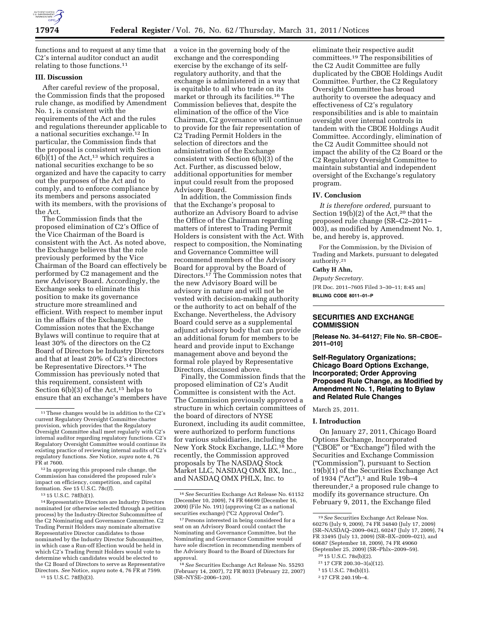

functions and to request at any time that C2's internal auditor conduct an audit relating to those functions.11

# **III. Discussion**

After careful review of the proposal, the Commission finds that the proposed rule change, as modified by Amendment No. 1, is consistent with the requirements of the Act and the rules and regulations thereunder applicable to a national securities exchange.12 In particular, the Commission finds that the proposal is consistent with Section  $6(b)(1)$  of the Act,<sup>13</sup> which requires a national securities exchange to be so organized and have the capacity to carry out the purposes of the Act and to comply, and to enforce compliance by its members and persons associated with its members, with the provisions of the Act.

The Commission finds that the proposed elimination of C2's Office of the Vice Chairman of the Board is consistent with the Act. As noted above, the Exchange believes that the role previously performed by the Vice Chairman of the Board can effectively be performed by C2 management and the new Advisory Board. Accordingly, the Exchange seeks to eliminate this position to make its governance structure more streamlined and efficient. With respect to member input in the affairs of the Exchange, the Commission notes that the Exchange Bylaws will continue to require that at least 30% of the directors on the C2 Board of Directors be Industry Directors and that at least 20% of C2's directors be Representative Directors.14 The Commission has previously noted that this requirement, consistent with Section  $6(b)(3)$  of the Act,<sup>15</sup> helps to ensure that an exchange's members have

13 15 U.S.C. 78f(b)(1).

14Representative Directors are Industry Directors nominated (or otherwise selected through a petition process) by the Industry-Director Subcommittee of the C2 Nominating and Governance Committee. C2 Trading Permit Holders may nominate alternative Representative Director candidates to those nominated by the Industry Director Subcommittee, in which case a Run-off Election would be held in which C2's Trading Permit Holders would vote to determine which candidates would be elected to the C2 Board of Directors to serve as Representative Directors. *See* Notice, *supra* note 4, 76 FR at 7599. 15 15 U.S.C. 78f(b)(3).

a voice in the governing body of the exchange and the corresponding exercise by the exchange of its selfregulatory authority, and that the exchange is administered in a way that is equitable to all who trade on its market or through its facilities.16 The Commission believes that, despite the elimination of the office of the Vice Chairman, C2 governance will continue to provide for the fair representation of C2 Trading Permit Holders in the selection of directors and the administration of the Exchange consistent with Section 6(b)(3) of the Act. Further, as discussed below, additional opportunities for member input could result from the proposed Advisory Board.

In addition, the Commission finds that the Exchange's proposal to authorize an Advisory Board to advise the Office of the Chairman regarding matters of interest to Trading Permit Holders is consistent with the Act. With respect to composition, the Nominating and Governance Committee will recommend members of the Advisory Board for approval by the Board of Directors.<sup>17</sup> The Commission notes that the new Advisory Board will be advisory in nature and will not be vested with decision-making authority or the authority to act on behalf of the Exchange. Nevertheless, the Advisory Board could serve as a supplemental adjunct advisory body that can provide an additional forum for members to be heard and provide input to Exchange management above and beyond the formal role played by Representative Directors, discussed above.

Finally, the Commission finds that the proposed elimination of C2's Audit Committee is consistent with the Act. The Commission previously approved a structure in which certain committees of the board of directors of NYSE Euronext, including its audit committee, were authorized to perform functions for various subsidiaries, including the New York Stock Exchange, LLC.18 More recently, the Commission approved proposals by The NASDAQ Stock Market LLC, NASDAQ OMX BX, Inc., and NASDAQ OMX PHLX, Inc. to

eliminate their respective audit committees.19 The responsibilities of the C2 Audit Committee are fully duplicated by the CBOE Holdings Audit Committee. Further, the C2 Regulatory Oversight Committee has broad authority to oversee the adequacy and effectiveness of C2's regulatory responsibilities and is able to maintain oversight over internal controls in tandem with the CBOE Holdings Audit Committee. Accordingly, elimination of the C2 Audit Committee should not impact the ability of the C2 Board or the C2 Regulatory Oversight Committee to maintain substantial and independent oversight of the Exchange's regulatory program.

#### **IV. Conclusion**

*It is therefore ordered,* pursuant to Section 19(b)(2) of the Act,<sup>20</sup> that the proposed rule change (SR–C2–2011– 003), as modified by Amendment No. 1, be, and hereby is, approved.

For the Commission, by the Division of Trading and Markets, pursuant to delegated authority.21

# **Cathy H Ahn,**

*Deputy Secretary.*  [FR Doc. 2011–7605 Filed 3–30–11; 8:45 am] **BILLING CODE 8011–01–P** 

## **SECURITIES AND EXCHANGE COMMISSION**

**[Release No. 34–64127; File No. SR–CBOE– 2011–010]** 

## **Self-Regulatory Organizations; Chicago Board Options Exchange, Incorporated; Order Approving Proposed Rule Change, as Modified by Amendment No. 1, Relating to Bylaw and Related Rule Changes**

March 25, 2011.

#### **I. Introduction**

On January 27, 2011, Chicago Board Options Exchange, Incorporated (''CBOE'' or ''Exchange'') filed with the Securities and Exchange Commission (''Commission''), pursuant to Section 19(b)(1) of the Securities Exchange Act of 1934 ("Act"),<sup>1</sup> and Rule 19b-4 thereunder,<sup>2</sup> a proposed rule change to modify its governance structure. On February 9, 2011, the Exchange filed

- 20 15 U.S.C. 78s(b)(2).
- 21 17 CFR 200.30–3(a)(12).

2 17 CFR 240.19b–4.

<sup>11</sup>These changes would be in addition to the C2's current Regulatory Oversight Committee charter provision, which provides that the Regulatory Oversight Committee shall meet regularly with C2's internal auditor regarding regulatory functions. C2's Regulatory Oversight Committee would continue its existing practice of reviewing internal audits of C2's regulatory functions. *See* Notice, *supra* note 4, 76 FR at 7600.

<sup>12</sup> In approving this proposed rule change, the Commission has considered the proposed rule's impact on efficiency, competition, and capital formation. *See* 15 U.S.C. 78c(f).

<sup>16</sup>*See* Securities Exchange Act Release No. 61152 (December 10, 2009), 74 FR 66699 (December 16, 2009) (File No. 191) (approving C2 as a national securities exchange) ("C2 Approval Order").

<sup>&</sup>lt;sup>17</sup> Persons interested in being considered for a seat on an Advisory Board could contact the Nominating and Governance Committee, but the Nominating and Governance Committee would have sole discretion in recommending members of the Advisory Board to the Board of Directors for approval.

<sup>18</sup>*See* Securities Exchange Act Release No. 55293 (February 14, 2007), 72 FR 8033 (February 22, 2007) (SR–NYSE–2006–120).

<sup>19</sup>*See* Securities Exchange Act Release Nos. 60276 (July 9, 2009), 74 FR 34840 (July 17, 2009) (SR–NASDAQ–2009–042), 60247 (July 17, 2009), 74 FR 33495 (July 13, 2009) (SR–BX–2009–021), and 60687 (September 18, 2009), 74 FR 49060 (September 25, 2009) (SR–Phlx–2009–59).

<sup>1</sup> 15 U.S.C. 78s(b)(1).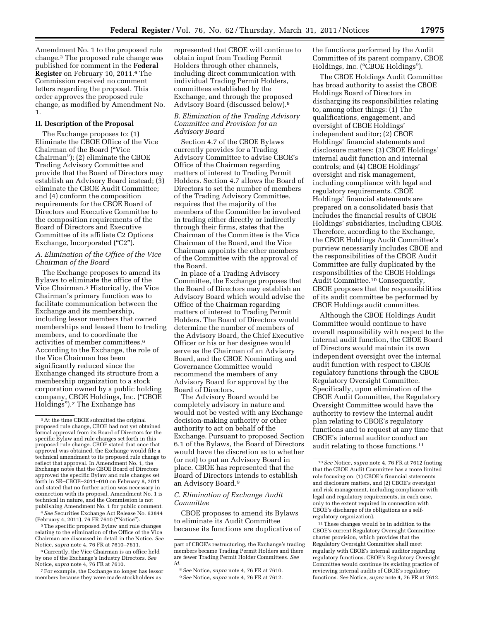Amendment No. 1 to the proposed rule change.3 The proposed rule change was published for comment in the **Federal Register** on February 10, 2011.4 The Commission received no comment letters regarding the proposal. This order approves the proposed rule change, as modified by Amendment No. 1.

# **II. Description of the Proposal**

The Exchange proposes to: (1) Eliminate the CBOE Office of the Vice Chairman of the Board (''Vice Chairman''); (2) eliminate the CBOE Trading Advisory Committee and provide that the Board of Directors may establish an Advisory Board instead; (3) eliminate the CBOE Audit Committee; and (4) conform the composition requirements for the CBOE Board of Directors and Executive Committee to the composition requirements of the Board of Directors and Executive Committee of its affiliate C2 Options Exchange, Incorporated ("C2").

# *A. Elimination of the Office of the Vice Chairman of the Board*

The Exchange proposes to amend its Bylaws to eliminate the office of the Vice Chairman.5 Historically, the Vice Chairman's primary function was to facilitate communication between the Exchange and its membership, including lessor members that owned memberships and leased them to trading members, and to coordinate the activities of member committees.6 According to the Exchange, the role of the Vice Chairman has been significantly reduced since the Exchange changed its structure from a membership organization to a stock corporation owned by a public holding company, CBOE Holdings, Inc. ("CBOE Holdings'').7 The Exchange has

4*See* Securities Exchange Act Release No. 63844 (February 4, 2011), 76 FR 7610 (''Notice'').

5The specific proposed Bylaw and rule changes relating to the elimination of the Office of the Vice Chairman are discussed in detail in the Notice. *See*  Notice, *supra* note 4, 76 FR at 7610–7611.

6Currently, the Vice Chairman is an office held by one of the Exchange's Industry Directors. *See*  Notice, *supra* note 4, 76 FR at 7610.

7For example, the Exchange no longer has lessor members because they were made stockholders as

represented that CBOE will continue to obtain input from Trading Permit Holders through other channels, including direct communication with individual Trading Permit Holders, committees established by the Exchange, and through the proposed Advisory Board (discussed below).8

## *B. Elimination of the Trading Advisory Committee and Provision for an Advisory Board*

Section 4.7 of the CBOE Bylaws currently provides for a Trading Advisory Committee to advise CBOE's Office of the Chairman regarding matters of interest to Trading Permit Holders. Section 4.7 allows the Board of Directors to set the number of members of the Trading Advisory Committee, requires that the majority of the members of the Committee be involved in trading either directly or indirectly through their firms, states that the Chairman of the Committee is the Vice Chairman of the Board, and the Vice Chairman appoints the other members of the Committee with the approval of the Board.

In place of a Trading Advisory Committee, the Exchange proposes that the Board of Directors may establish an Advisory Board which would advise the Office of the Chairman regarding matters of interest to Trading Permit Holders. The Board of Directors would determine the number of members of the Advisory Board, the Chief Executive Officer or his or her designee would serve as the Chairman of an Advisory Board, and the CBOE Nominating and Governance Committee would recommend the members of any Advisory Board for approval by the Board of Directors.

The Advisory Board would be completely advisory in nature and would not be vested with any Exchange decision-making authority or other authority to act on behalf of the Exchange. Pursuant to proposed Section 6.1 of the Bylaws, the Board of Directors would have the discretion as to whether (or not) to put an Advisory Board in place. CBOE has represented that the Board of Directors intends to establish an Advisory Board.9

#### *C. Elimination of Exchange Audit Committee*

CBOE proposes to amend its Bylaws to eliminate its Audit Committee because its functions are duplicative of the functions performed by the Audit Committee of its parent company, CBOE Holdings, Inc. ("CBOE Holdings").

The CBOE Holdings Audit Committee has broad authority to assist the CBOE Holdings Board of Directors in discharging its responsibilities relating to, among other things: (1) The qualifications, engagement, and oversight of CBOE Holdings' independent auditor; (2) CBOE Holdings' financial statements and disclosure matters; (3) CBOE Holdings' internal audit function and internal controls; and (4) CBOE Holdings' oversight and risk management, including compliance with legal and regulatory requirements. CBOE Holdings' financial statements are prepared on a consolidated basis that includes the financial results of CBOE Holdings' subsidiaries, including CBOE. Therefore, according to the Exchange, the CBOE Holdings Audit Committee's purview necessarily includes CBOE and the responsibilities of the CBOE Audit Committee are fully duplicated by the responsibilities of the CBOE Holdings Audit Committee.10 Consequently, CBOE proposes that the responsibilities of its audit committee be performed by CBOE Holdings audit committee.

Although the CBOE Holdings Audit Committee would continue to have overall responsibility with respect to the internal audit function, the CBOE Board of Directors would maintain its own independent oversight over the internal audit function with respect to CBOE regulatory functions through the CBOE Regulatory Oversight Committee. Specifically, upon elimination of the CBOE Audit Committee, the Regulatory Oversight Committee would have the authority to review the internal audit plan relating to CBOE's regulatory functions and to request at any time that CBOE's internal auditor conduct an audit relating to those functions.11

 $^{\rm 11}$  These changes would be in addition to the CBOE's current Regulatory Oversight Committee charter provision, which provides that the Regulatory Oversight Committee shall meet regularly with CBOE's internal auditor regarding regulatory functions. CBOE's Regulatory Oversight Committee would continue its existing practice of reviewing internal audits of CBOE's regulatory functions. *See* Notice, *supra* note 4, 76 FR at 7612.

<sup>3</sup>At the time CBOE submitted the original proposed rule change, CBOE had not yet obtained formal approval from its Board of Directors for the specific Bylaw and rule changes set forth in this proposed rule change. CBOE stated that once that approval was obtained, the Exchange would file a technical amendment to its proposed rule change to reflect that approval. In Amendment No. 1, the Exchange notes that the CBOE Board of Directors approved the specific Bylaw and rule changes set forth in SR–CBOE–2011–010 on February 8, 2011 and stated that no further action was necessary in connection with its proposal. Amendment No. 1 is technical in nature, and the Commission is not publishing Amendment No. 1 for public comment.

part of CBOE's restructuring, the Exchange's trading members became Trading Permit Holders and there are fewer Trading Permit Holder Committees. *See id.* 

<sup>8</sup>*See* Notice, *supra* note 4, 76 FR at 7610. 9*See* Notice, *supra* note 4, 76 FR at 7612.

<sup>10</sup>*See* Notice, *supra* note 4, 76 FR at 7612 (noting that the CBOE Audit Committee has a more limited role focusing on: (1) CBOE's financial statements and disclosure matters, and (2) CBOE's oversight and risk management, including compliance with legal and regulatory requirements, in each case, only to the extent required in connection with CBOE's discharge of its obligations as a selfregulatory organization).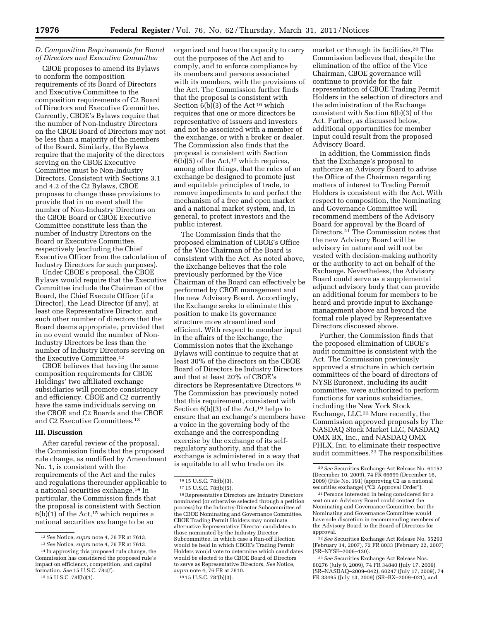## *D. Composition Requirements for Board of Directors and Executive Committee*

CBOE proposes to amend its Bylaws to conform the composition requirements of its Board of Directors and Executive Committee to the composition requirements of C2 Board of Directors and Executive Committee. Currently, CBOE's Bylaws require that the number of Non-Industry Directors on the CBOE Board of Directors may not be less than a majority of the members of the Board. Similarly, the Bylaws require that the majority of the directors serving on the CBOE Executive Committee must be Non-Industry Directors. Consistent with Sections 3.1 and 4.2 of the C2 Bylaws, CBOE proposes to change these provisions to provide that in no event shall the number of Non-Industry Directors on the CBOE Board or CBOE Executive Committee constitute less than the number of Industry Directors on the Board or Executive Committee, respectively (excluding the Chief Executive Officer from the calculation of Industry Directors for such purposes).

Under CBOE's proposal, the CBOE Bylaws would require that the Executive Committee include the Chairman of the Board, the Chief Execute Officer (if a Director), the Lead Director (if any), at least one Representative Director, and such other number of directors that the Board deems appropriate, provided that in no event would the number of Non-Industry Directors be less than the number of Industry Directors serving on the Executive Committee.12

CBOE believes that having the same composition requirements for CBOE Holdings' two affiliated exchange subsidiaries will promote consistency and efficiency. CBOE and C2 currently have the same individuals serving on the CBOE and C2 Boards and the CBOE and C2 Executive Committees.13

#### **III. Discussion**

After careful review of the proposal, the Commission finds that the proposed rule change, as modified by Amendment No. 1, is consistent with the requirements of the Act and the rules and regulations thereunder applicable to a national securities exchange.14 In particular, the Commission finds that the proposal is consistent with Section  $6(b)(1)$  of the Act,<sup>15</sup> which requires a national securities exchange to be so

organized and have the capacity to carry out the purposes of the Act and to comply, and to enforce compliance by its members and persons associated with its members, with the provisions of the Act. The Commission further finds that the proposal is consistent with Section 6(b)(3) of the Act<sup>16</sup> which requires that one or more directors be representative of issuers and investors and not be associated with a member of the exchange, or with a broker or dealer. The Commission also finds that the proposal is consistent with Section  $6(b)(5)$  of the Act,<sup>17</sup> which requires, among other things, that the rules of an exchange be designed to promote just and equitable principles of trade, to remove impediments to and perfect the mechanism of a free and open market and a national market system, and, in general, to protect investors and the public interest.

The Commission finds that the proposed elimination of CBOE's Office of the Vice Chairman of the Board is consistent with the Act. As noted above, the Exchange believes that the role previously performed by the Vice Chairman of the Board can effectively be performed by CBOE management and the new Advisory Board. Accordingly, the Exchange seeks to eliminate this position to make its governance structure more streamlined and efficient. With respect to member input in the affairs of the Exchange, the Commission notes that the Exchange Bylaws will continue to require that at least 30% of the directors on the CBOE Board of Directors be Industry Directors and that at least 20% of CBOE's directors be Representative Directors.18 The Commission has previously noted that this requirement, consistent with Section  $6(b)(3)$  of the Act,<sup>19</sup> helps to ensure that an exchange's members have a voice in the governing body of the exchange and the corresponding exercise by the exchange of its selfregulatory authority, and that the exchange is administered in a way that is equitable to all who trade on its

18Representative Directors are Industry Directors nominated (or otherwise selected through a petition process) by the Industry-Director Subcommittee of the CBOE Nominating and Governance Committee. CBOE Trading Permit Holders may nominate alternative Representative Director candidates to those nominated by the Industry Director Subcommittee, in which case a Run-off Election would be held in which CBOE's Trading Permit Holders would vote to determine which candidates would be elected to the CBOE Board of Directors to serve as Representative Directors. *See* Notice, *supra* note 4, 76 FR at 7610.

19 15 U.S.C. 78f(b)(3).

market or through its facilities.20 The Commission believes that, despite the elimination of the office of the Vice Chairman, CBOE governance will continue to provide for the fair representation of CBOE Trading Permit Holders in the selection of directors and the administration of the Exchange consistent with Section 6(b)(3) of the Act. Further, as discussed below, additional opportunities for member input could result from the proposed Advisory Board.

In addition, the Commission finds that the Exchange's proposal to authorize an Advisory Board to advise the Office of the Chairman regarding matters of interest to Trading Permit Holders is consistent with the Act. With respect to composition, the Nominating and Governance Committee will recommend members of the Advisory Board for approval by the Board of Directors.21 The Commission notes that the new Advisory Board will be advisory in nature and will not be vested with decision-making authority or the authority to act on behalf of the Exchange. Nevertheless, the Advisory Board could serve as a supplemental adjunct advisory body that can provide an additional forum for members to be heard and provide input to Exchange management above and beyond the formal role played by Representative Directors discussed above.

Further, the Commission finds that the proposed elimination of CBOE's audit committee is consistent with the Act. The Commission previously approved a structure in which certain committees of the board of directors of NYSE Euronext, including its audit committee, were authorized to perform functions for various subsidiaries, including the New York Stock Exchange, LLC.22 More recently, the Commission approved proposals by The NASDAQ Stock Market LLC, NASDAQ OMX BX, Inc., and NASDAQ OMX PHLX, Inc. to eliminate their respective audit committees.23 The responsibilities

22*See* Securities Exchange Act Release No. 55293 (February 14, 2007), 72 FR 8033 (February 22, 2007) (SR–NYSE–2006–120).

23*See* Securities Exchange Act Release Nos. 60276 (July 9, 2009), 74 FR 34840 (July 17, 2009) (SR–NASDAQ–2009–042), 60247 (July 17, 2009), 74 FR 33495 (July 13, 2009) (SR–BX–2009–021), and

<sup>12</sup>*See* Notice, *supra* note 4, 76 FR at 7613.

<sup>13</sup>*See* Notice, *supra* note 4, 76 FR at 7613.

<sup>14</sup> In approving this proposed rule change, the Commission has considered the proposed rule's impact on efficiency, competition, and capital formation. *See* 15 U.S.C. 78c(f). 15 15 U.S.C. 78f(b)(1).

<sup>16</sup> 15 U.S.C. 78f(b)(3).

<sup>17</sup> 15 U.S.C. 78f(b)(5).

<sup>20</sup>*See* Securities Exchange Act Release No. 61152 (December 10, 2009), 74 FR 66699 (December 16, 2009) (File No. 191) (approving C2 as a national securities exchange) ("C2 Approval Order").

<sup>21</sup>Persons interested in being considered for a seat on an Advisory Board could contact the Nominating and Governance Committee, but the Nominating and Governance Committee would have sole discretion in recommending members of the Advisory Board to the Board of Directors for approval.